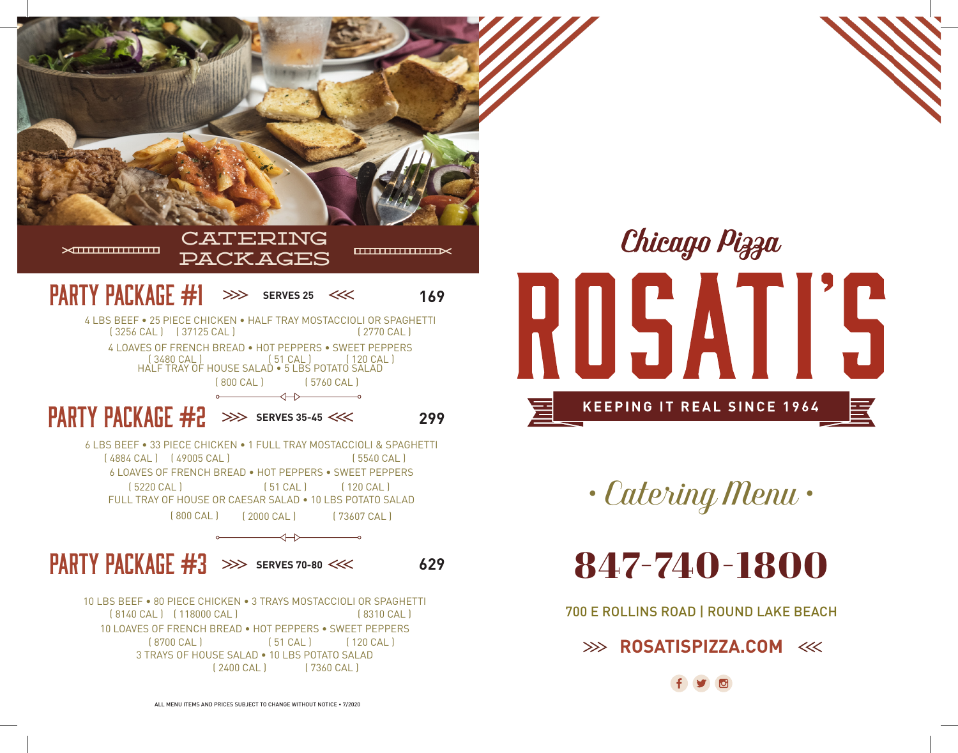

Chicago Pizza OSATI'S **KEEPING IT REAL SINCE 1964** 

*• Catering Menu •*

847-740-1800

700 E ROLLINS ROAD | ROUND LAKE BEACH

**EXAMPLE ROSATISPIZZA.COM**